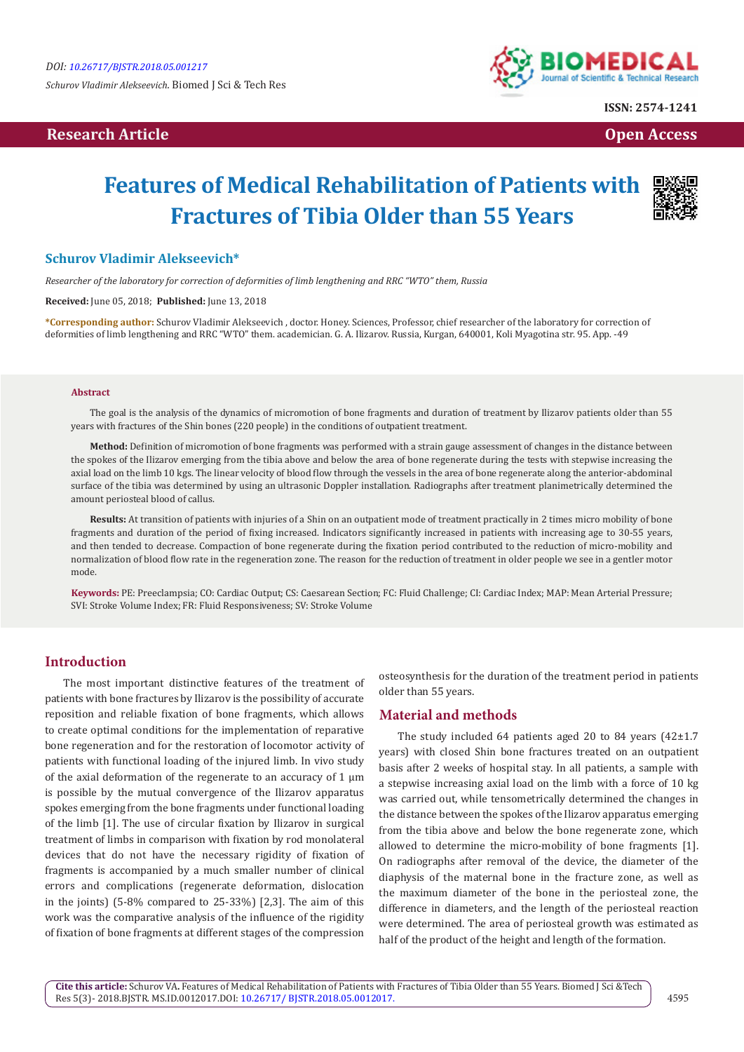*Schurov Vladimir Alekseevich.* Biomed J Sci & Tech Res

# **Research Article Community Community Community Community Community Community Community Community Community Community Community Community Community Community Community Community Community Community Community Community Com**



**ISSN: 2574-1241**

# **Features of Medical Rehabilitation of Patients with Fractures of Tibia Older than 55 Years**



# **Schurov Vladimir Alekseevich\***

*Researcher of the laboratory for correction of deformities of limb lengthening and RRC "WTO" them, Russia*

**Received:** June 05, 2018; **Published:** June 13, 2018

**\*Corresponding author:** Schurov Vladimir Alekseevich , doctor. Honey. Sciences, Professor, chief researcher of the laboratory for correction of deformities of limb lengthening and RRC "WTO" them. academician. G. A. Ilizarov. Russia, Kurgan, 640001, Koli Myagotina str. 95. App. -49

#### **Abstract**

The goal is the analysis of the dynamics of micromotion of bone fragments and duration of treatment by Ilizarov patients older than 55 years with fractures of the Shin bones (220 people) in the conditions of outpatient treatment.

**Method:** Definition of micromotion of bone fragments was performed with a strain gauge assessment of changes in the distance between the spokes of the Ilizarov emerging from the tibia above and below the area of bone regenerate during the tests with stepwise increasing the axial load on the limb 10 kgs. The linear velocity of blood flow through the vessels in the area of bone regenerate along the anterior-abdominal surface of the tibia was determined by using an ultrasonic Doppler installation. Radiographs after treatment planimetrically determined the amount periosteal blood of callus.

**Results:** At transition of patients with injuries of a Shin on an outpatient mode of treatment practically in 2 times micro mobility of bone fragments and duration of the period of fixing increased. Indicators significantly increased in patients with increasing age to 30-55 years, and then tended to decrease. Compaction of bone regenerate during the fixation period contributed to the reduction of micro-mobility and normalization of blood flow rate in the regeneration zone. The reason for the reduction of treatment in older people we see in a gentler motor mode.

**Keywords:** PE: Preeclampsia; CO: Cardiac Output; CS: Caesarean Section; FC: Fluid Challenge; CI: Cardiac Index; MAP: Mean Arterial Pressure; SVI: Stroke Volume Index; FR: Fluid Responsiveness; SV: Stroke Volume

# **Introduction**

The most important distinctive features of the treatment of patients with bone fractures by Ilizarov is the possibility of accurate reposition and reliable fixation of bone fragments, which allows to create optimal conditions for the implementation of reparative bone regeneration and for the restoration of locomotor activity of patients with functional loading of the injured limb. In vivo study of the axial deformation of the regenerate to an accuracy of  $1 \mu m$ is possible by the mutual convergence of the Ilizarov apparatus spokes emerging from the bone fragments under functional loading of the limb [1]. The use of circular fixation by Ilizarov in surgical treatment of limbs in comparison with fixation by rod monolateral devices that do not have the necessary rigidity of fixation of fragments is accompanied by a much smaller number of clinical errors and complications (regenerate deformation, dislocation in the joints) (5-8% compared to 25-33%) [2,3]. The aim of this work was the comparative analysis of the influence of the rigidity of fixation of bone fragments at different stages of the compression

osteosynthesis for the duration of the treatment period in patients older than 55 years.

#### **Material and methods**

The study included 64 patients aged 20 to 84 years (42±1.7 years) with closed Shin bone fractures treated on an outpatient basis after 2 weeks of hospital stay. In all patients, a sample with a stepwise increasing axial load on the limb with a force of 10 kg was carried out, while tensometrically determined the changes in the distance between the spokes of the Ilizarov apparatus emerging from the tibia above and below the bone regenerate zone, which allowed to determine the micro-mobility of bone fragments [1]. On radiographs after removal of the device, the diameter of the diaphysis of the maternal bone in the fracture zone, as well as the maximum diameter of the bone in the periosteal zone, the difference in diameters, and the length of the periosteal reaction were determined. The area of periosteal growth was estimated as half of the product of the height and length of the formation.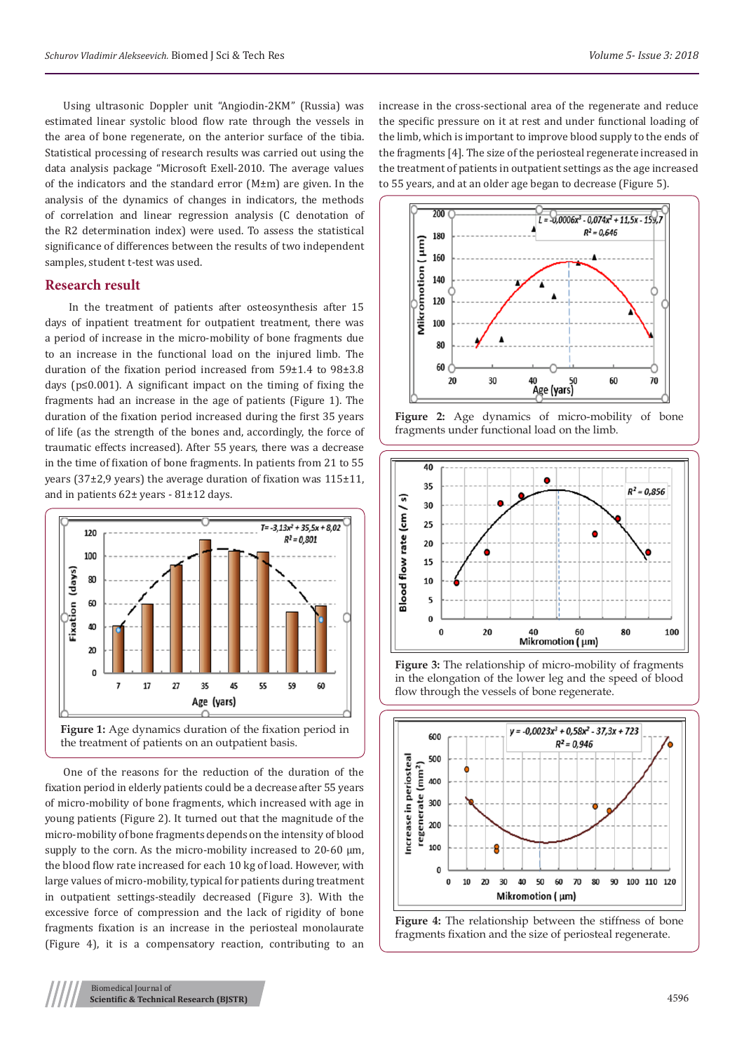Using ultrasonic Doppler unit "Angiodin-2KM" (Russia) was estimated linear systolic blood flow rate through the vessels in the area of bone regenerate, on the anterior surface of the tibia. Statistical processing of research results was carried out using the data analysis package "Microsoft Exell-2010. The average values of the indicators and the standard error (M±m) are given. In the analysis of the dynamics of changes in indicators, the methods of correlation and linear regression analysis (C denotation of the R2 determination index) were used. To assess the statistical significance of differences between the results of two independent samples, student t-test was used.

# **Research result**

 In the treatment of patients after osteosynthesis after 15 days of inpatient treatment for outpatient treatment, there was a period of increase in the micro-mobility of bone fragments due to an increase in the functional load on the injured limb. The duration of the fixation period increased from 59±1.4 to 98±3.8 days (p≤0.001). A significant impact on the timing of fixing the fragments had an increase in the age of patients (Figure 1). The duration of the fixation period increased during the first 35 years of life (as the strength of the bones and, accordingly, the force of traumatic effects increased). After 55 years, there was a decrease in the time of fixation of bone fragments. In patients from 21 to 55 years (37±2,9 years) the average duration of fixation was 115±11, and in patients 62± years - 81±12 days.



One of the reasons for the reduction of the duration of the fixation period in elderly patients could be a decrease after 55 years of micro-mobility of bone fragments, which increased with age in young patients (Figure 2). It turned out that the magnitude of the micro-mobility of bone fragments depends on the intensity of blood supply to the corn. As the micro-mobility increased to 20-60  $\mu$ m, the blood flow rate increased for each 10 kg of load. However, with large values of micro-mobility, typical for patients during treatment in outpatient settings-steadily decreased (Figure 3). With the excessive force of compression and the lack of rigidity of bone fragments fixation is an increase in the periosteal monolaurate (Figure 4), it is a compensatory reaction, contributing to an

increase in the cross-sectional area of the regenerate and reduce the specific pressure on it at rest and under functional loading of the limb, which is important to improve blood supply to the ends of the fragments [4]. The size of the periosteal regenerate increased in the treatment of patients in outpatient settings as the age increased to 55 years, and at an older age began to decrease (Figure 5).







**Figure 3:** The relationship of micro-mobility of fragments in the elongation of the lower leg and the speed of blood flow through the vessels of bone regenerate.